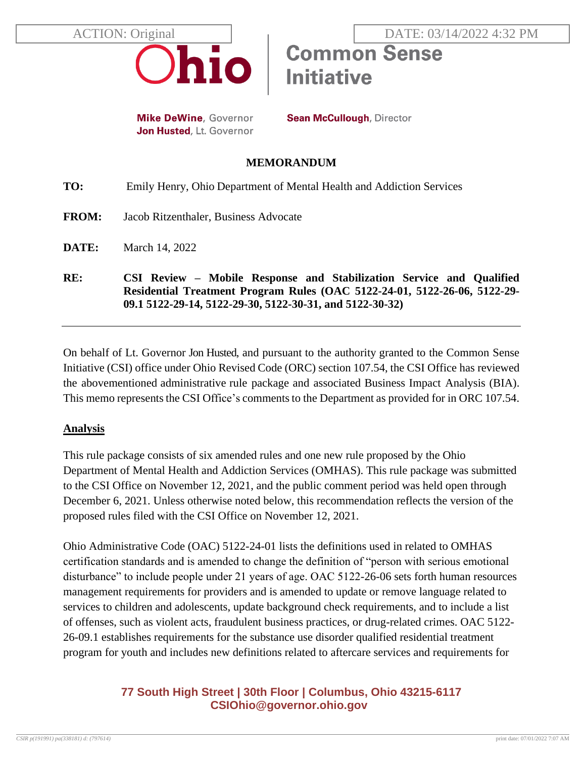

**Mike DeWine, Governor** Jon Husted, Lt. Governor **Sean McCullough, Director** 

**Initiative** 

**Common Sense** 

### **MEMORANDUM**

| RE:          | CSI Review – Mobile Response and Stabilization Service and Qualified<br>Residential Treatment Program Rules (OAC 5122-24-01, 5122-26-06, 5122-29-<br>09.1 5122-29-14, 5122-29-30, 5122-30-31, and 5122-30-32) |
|--------------|---------------------------------------------------------------------------------------------------------------------------------------------------------------------------------------------------------------|
| DATE:        | March 14, 2022                                                                                                                                                                                                |
| <b>FROM:</b> | Jacob Ritzenthaler, Business Advocate                                                                                                                                                                         |
| TO:          | Emily Henry, Ohio Department of Mental Health and Addiction Services                                                                                                                                          |

On behalf of Lt. Governor Jon Husted, and pursuant to the authority granted to the Common Sense Initiative (CSI) office under Ohio Revised Code (ORC) section 107.54, the CSI Office has reviewed the abovementioned administrative rule package and associated Business Impact Analysis (BIA). This memo represents the CSI Office's comments to the Department as provided for in ORC 107.54.

## **Analysis**

This rule package consists of six amended rules and one new rule proposed by the Ohio Department of Mental Health and Addiction Services (OMHAS). This rule package was submitted to the CSI Office on November 12, 2021, and the public comment period was held open through December 6, 2021. Unless otherwise noted below, this recommendation reflects the version of the proposed rules filed with the CSI Office on November 12, 2021.

Ohio Administrative Code (OAC) 5122-24-01 lists the definitions used in related to OMHAS certification standards and is amended to change the definition of "person with serious emotional disturbance" to include people under 21 years of age. OAC 5122-26-06 sets forth human resources management requirements for providers and is amended to update or remove language related to services to children and adolescents, update background check requirements, and to include a list of offenses, such as violent acts, fraudulent business practices, or drug-related crimes. OAC 5122- 26-09.1 establishes requirements for the substance use disorder qualified residential treatment program for youth and includes new definitions related to aftercare services and requirements for

# **77 South High Street | 30th Floor | Columbus, Ohio 43215-6117 [CSIOhio@governor.ohio.gov](mailto:CSIOhio@governor.ohio.gov)**